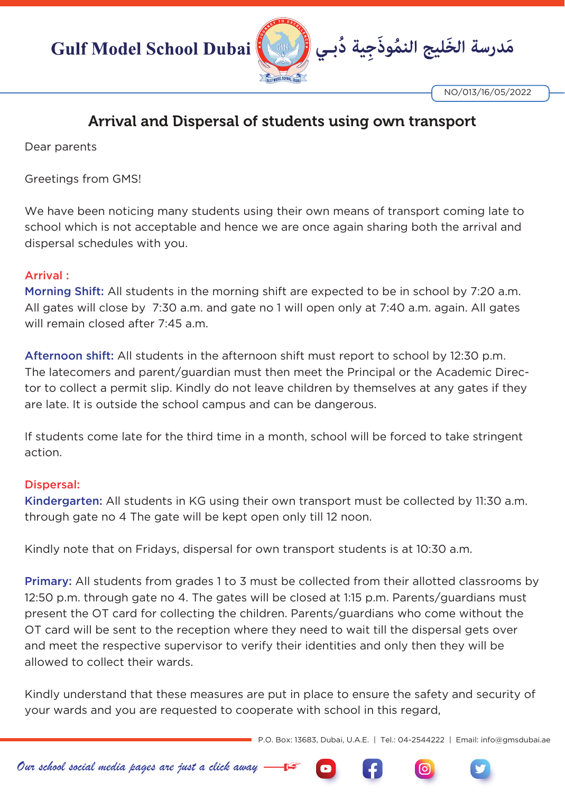

NO/013/16/05/2022

## Arrival and Dispersal of students using own transport

Dear parents

Greetings from GMS!

We have been noticing many students using their own means of transport coming late to school which is not acceptable and hence we are once again sharing both the arrival and dispersal schedules with you.

## Arrival :

Morning Shift: All students in the morning shift are expected to be in school by 7:20 a.m. All gates will close by 7:30 a.m. and gate no 1 will open only at 7:40 a.m. again. All gates will remain closed after 7:45 a.m.

Afternoon shift: All students in the afternoon shift must report to school by 12:30 p.m. The latecomers and parent/guardian must then meet the Principal or the Academic Director to collect a permit slip. Kindly do not leave children by themselves at any gates if they are late. It is outside the school campus and can be dangerous.

If students come late for the third time in a month, school will be forced to take stringent action.

## Dispersal:

Kindergarten: All students in KG using their own transport must be collected by 11:30 a.m. through gate no 4 The gate will be kept open only till 12 noon.

Kindly note that on Fridays, dispersal for own transport students is at 10:30 a.m.

**Primary:** All students from grades 1 to 3 must be collected from their allotted classrooms by 12:50 p.m. through gate no 4. The gates will be closed at 1:15 p.m. Parents/guardians must present the OT card for collecting the children. Parents/guardians who come without the OT card will be sent to the reception where they need to wait till the dispersal gets over and meet the respective supervisor to verify their identities and only then they will be allowed to collect their wards.

Kindly understand that these measures are put in place to ensure the safety and security of your wards and you are requested to cooperate with school in this regard,

P.O. Box: 13683, Dubai, U.A.E. | Tel.: 04-2544222 | Email: info@gmsdubai.ae